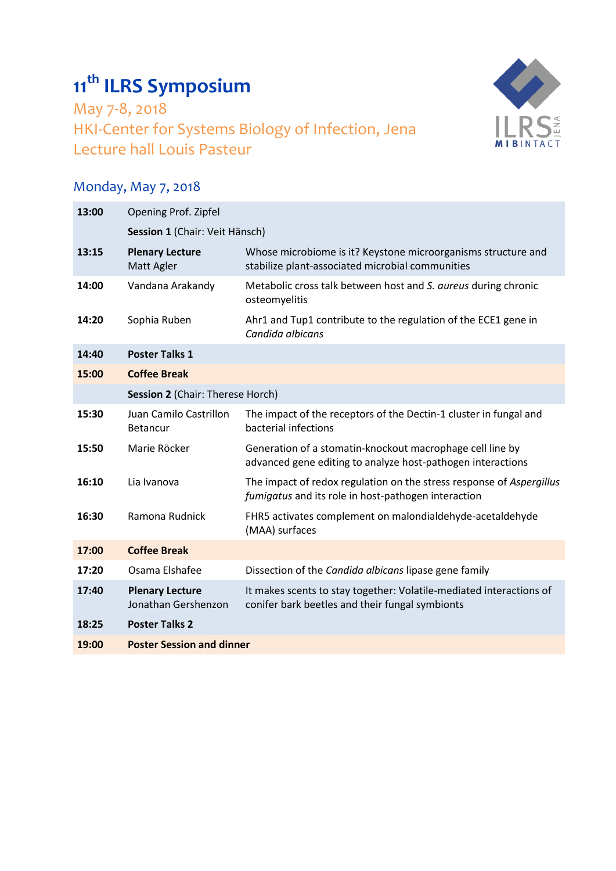## **11 th ILRS Symposium**

May 7-8, 2018 HKI-Center for Systems Biology of Infection, Jena Lecture hall Louis Pasteur



## Monday, May 7, 2018

| 13:00 | Opening Prof. Zipfel                          |                                                                                                                             |  |
|-------|-----------------------------------------------|-----------------------------------------------------------------------------------------------------------------------------|--|
|       | Session 1 (Chair: Veit Hänsch)                |                                                                                                                             |  |
| 13:15 | <b>Plenary Lecture</b><br>Matt Agler          | Whose microbiome is it? Keystone microorganisms structure and<br>stabilize plant-associated microbial communities           |  |
| 14:00 | Vandana Arakandy                              | Metabolic cross talk between host and S. aureus during chronic<br>osteomyelitis                                             |  |
| 14:20 | Sophia Ruben                                  | Ahr1 and Tup1 contribute to the regulation of the ECE1 gene in<br>Candida albicans                                          |  |
| 14:40 | <b>Poster Talks 1</b>                         |                                                                                                                             |  |
| 15:00 | <b>Coffee Break</b>                           |                                                                                                                             |  |
|       | Session 2 (Chair: Therese Horch)              |                                                                                                                             |  |
| 15:30 | Juan Camilo Castrillon<br><b>Betancur</b>     | The impact of the receptors of the Dectin-1 cluster in fungal and<br>bacterial infections                                   |  |
| 15:50 | Marie Röcker                                  | Generation of a stomatin-knockout macrophage cell line by<br>advanced gene editing to analyze host-pathogen interactions    |  |
| 16:10 | Lia Ivanova                                   | The impact of redox regulation on the stress response of Aspergillus<br>fumigatus and its role in host-pathogen interaction |  |
| 16:30 | Ramona Rudnick                                | FHR5 activates complement on malondialdehyde-acetaldehyde<br>(MAA) surfaces                                                 |  |
| 17:00 | <b>Coffee Break</b>                           |                                                                                                                             |  |
| 17:20 | Osama Elshafee                                | Dissection of the Candida albicans lipase gene family                                                                       |  |
| 17:40 | <b>Plenary Lecture</b><br>Jonathan Gershenzon | It makes scents to stay together: Volatile-mediated interactions of<br>conifer bark beetles and their fungal symbionts      |  |
| 18:25 | <b>Poster Talks 2</b>                         |                                                                                                                             |  |
| 19:00 | <b>Poster Session and dinner</b>              |                                                                                                                             |  |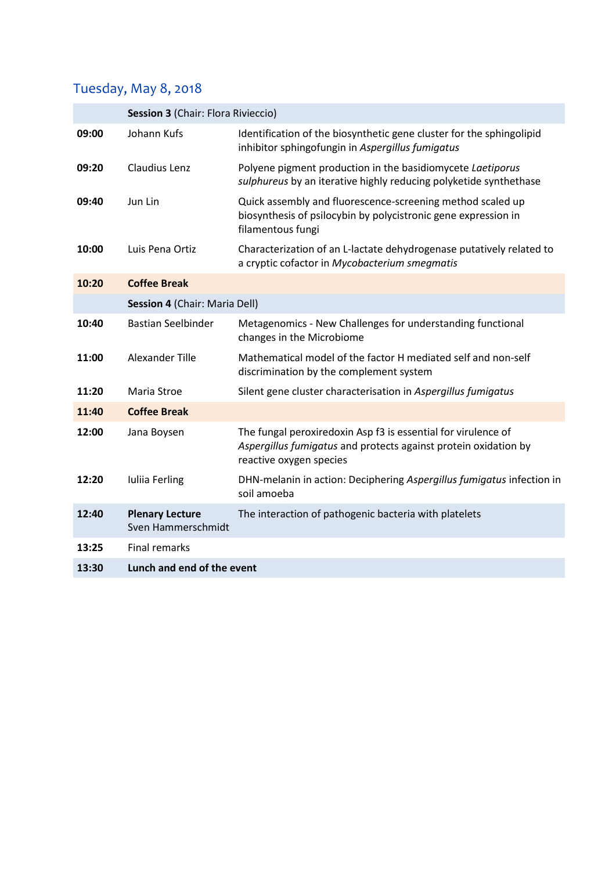## Tuesday, May 8, 2018

|       | Session 3 (Chair: Flora Rivieccio)           |                                                                                                                                                             |  |
|-------|----------------------------------------------|-------------------------------------------------------------------------------------------------------------------------------------------------------------|--|
| 09:00 | Johann Kufs                                  | Identification of the biosynthetic gene cluster for the sphingolipid<br>inhibitor sphingofungin in Aspergillus fumigatus                                    |  |
| 09:20 | Claudius Lenz                                | Polyene pigment production in the basidiomycete Laetiporus<br>sulphureus by an iterative highly reducing polyketide synthethase                             |  |
| 09:40 | Jun Lin                                      | Quick assembly and fluorescence-screening method scaled up<br>biosynthesis of psilocybin by polycistronic gene expression in<br>filamentous fungi           |  |
| 10:00 | Luis Pena Ortiz                              | Characterization of an L-lactate dehydrogenase putatively related to<br>a cryptic cofactor in Mycobacterium smegmatis                                       |  |
| 10:20 | <b>Coffee Break</b>                          |                                                                                                                                                             |  |
|       | Session 4 (Chair: Maria Dell)                |                                                                                                                                                             |  |
| 10:40 | <b>Bastian Seelbinder</b>                    | Metagenomics - New Challenges for understanding functional<br>changes in the Microbiome                                                                     |  |
| 11:00 | <b>Alexander Tille</b>                       | Mathematical model of the factor H mediated self and non-self<br>discrimination by the complement system                                                    |  |
| 11:20 | Maria Stroe                                  | Silent gene cluster characterisation in Aspergillus fumigatus                                                                                               |  |
| 11:40 | <b>Coffee Break</b>                          |                                                                                                                                                             |  |
| 12:00 | Jana Boysen                                  | The fungal peroxiredoxin Asp f3 is essential for virulence of<br>Aspergillus fumigatus and protects against protein oxidation by<br>reactive oxygen species |  |
| 12:20 | Iuliia Ferling                               | DHN-melanin in action: Deciphering Aspergillus fumigatus infection in<br>soil amoeba                                                                        |  |
| 12:40 | <b>Plenary Lecture</b><br>Sven Hammerschmidt | The interaction of pathogenic bacteria with platelets                                                                                                       |  |
| 13:25 | <b>Final remarks</b>                         |                                                                                                                                                             |  |
| 13:30 | Lunch and end of the event                   |                                                                                                                                                             |  |